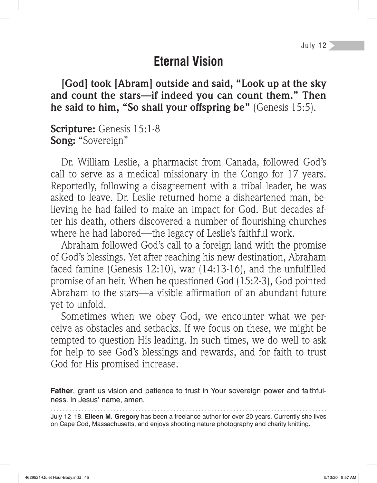### **Eternal Vision**

**[God] took [Abram] outside and said, "Look up at the sky and count the stars—if indeed you can count them." Then he said to him, "So shall your offspring be"** (Genesis 15:5).

**Scripture:** Genesis 15:1-8 **Song:** "Sovereign"

Dr. William Leslie, a pharmacist from Canada, followed God's call to serve as a medical missionary in the Congo for 17 years. Reportedly, following a disagreement with a tribal leader, he was asked to leave. Dr. Leslie returned home a disheartened man, believing he had failed to make an impact for God. But decades after his death, others discovered a number of flourishing churches where he had labored—the legacy of Leslie's faithful work.

Abraham followed God's call to a foreign land with the promise of God's blessings. Yet after reaching his new destination, Abraham faced famine (Genesis  $12:10$ ), war  $(14:13.16)$ , and the unfulfilled promise of an heir. When he questioned God (15:2-3), God pointed Abraham to the stars—a visible affirmation of an abundant future yet to unfold.

Sometimes when we obey God, we encounter what we perceive as obstacles and setbacks. If we focus on these, we might be tempted to question His leading. In such times, we do well to ask for help to see God's blessings and rewards, and for faith to trust God for His promised increase.

**Father**, grant us vision and patience to trust in Your sovereign power and faithfulness. In Jesus' name, amen.

July 12–18. **Eileen M. Gregory** has been a freelance author for over 20 years. Currently she lives on Cape Cod, Massachusetts, and enjoys shooting nature photography and charity knitting.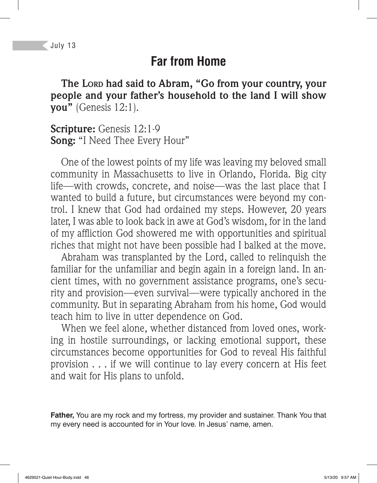### **Far from Home**

**The LORD had said to Abram, "Go from your country, your people and your father's household to the land I will show you"** (Genesis 12:1).

**Scripture:** Genesis 12:1-9 **Song:** "I Need Thee Every Hour"

One of the lowest points of my life was leaving my beloved small community in Massachusetts to live in Orlando, Florida. Big city life—with crowds, concrete, and noise—was the last place that I wanted to build a future, but circumstances were beyond my control. I knew that God had ordained my steps. However, 20 years later, I was able to look back in awe at God's wisdom, for in the land of my affliction God showered me with opportunities and spiritual riches that might not have been possible had I balked at the move.

Abraham was transplanted by the Lord, called to relinquish the familiar for the unfamiliar and begin again in a foreign land. In ancient times, with no government assistance programs, one's security and provision—even survival—were typically anchored in the community. But in separating Abraham from his home, God would teach him to live in utter dependence on God.

When we feel alone, whether distanced from loved ones, working in hostile surroundings, or lacking emotional support, these circumstances become opportunities for God to reveal His faithful provision . . . if we will continue to lay every concern at His feet and wait for His plans to unfold.

**Father,** You are my rock and my fortress, my provider and sustainer. Thank You that my every need is accounted for in Your love. In Jesus' name, amen.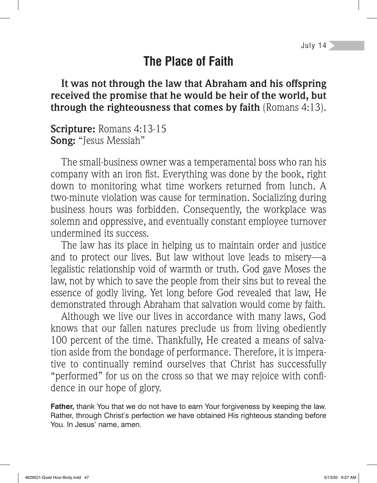# **The Place of Faith**

**It was not through the law that Abraham and his offspring received the promise that he would be heir of the world, but through the righteousness that comes by faith** (Romans 4:13).

**Scripture:** Romans 4:13-15 **Song:** "Jesus Messiah"

The small-business owner was a temperamental boss who ran his company with an iron fist. Everything was done by the book, right down to monitoring what time workers returned from lunch. A two-minute violation was cause for termination. Socializing during business hours was forbidden. Consequently, the workplace was solemn and oppressive, and eventually constant employee turnover undermined its success.

The law has its place in helping us to maintain order and justice and to protect our lives. But law without love leads to misery—a legalistic relationship void of warmth or truth. God gave Moses the law, not by which to save the people from their sins but to reveal the essence of godly living. Yet long before God revealed that law, He demonstrated through Abraham that salvation would come by faith.

Although we live our lives in accordance with many laws, God knows that our fallen natures preclude us from living obediently 100 percent of the time. Thankfully, He created a means of salvation aside from the bondage of performance. Therefore, it is imperative to continually remind ourselves that Christ has successfully "performed" for us on the cross so that we may rejoice with confidence in our hope of glory.

**Father,** thank You that we do not have to earn Your forgiveness by keeping the law. Rather, through Christ's perfection we have obtained His righteous standing before You. In Jesus' name, amen.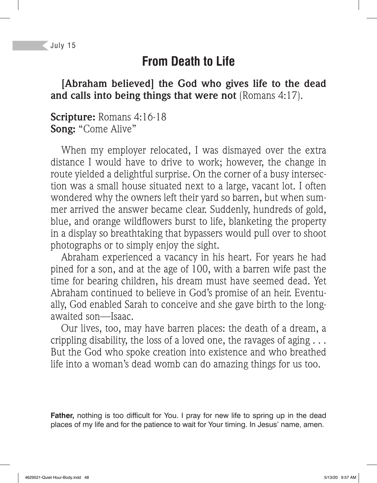### **From Death to Life**

#### **[Abraham believed] the God who gives life to the dead and calls into being things that were not** (Romans 4:17).

#### **Scripture:** Romans 4:16-18 **Song:** "Come Alive"

When my employer relocated, I was dismayed over the extra distance I would have to drive to work; however, the change in route yielded a delightful surprise. On the corner of a busy intersection was a small house situated next to a large, vacant lot. I often wondered why the owners left their yard so barren, but when summer arrived the answer became clear. Suddenly, hundreds of gold, blue, and orange wild flowers burst to life, blanketing the property in a display so breathtaking that bypassers would pull over to shoot photographs or to simply enjoy the sight.

Abraham experienced a vacancy in his heart. For years he had pined for a son, and at the age of 100, with a barren wife past the time for bearing children, his dream must have seemed dead. Yet Abraham continued to believe in God's promise of an heir. Eventually, God enabled Sarah to conceive and she gave birth to the longawaited son—Isaac.

Our lives, too, may have barren places: the death of a dream, a crippling disability, the loss of a loved one, the ravages of aging . . . But the God who spoke creation into existence and who breathed life into a woman's dead womb can do amazing things for us too.

Father, nothing is too difficult for You. I pray for new life to spring up in the dead places of my life and for the patience to wait for Your timing. In Jesus' name, amen.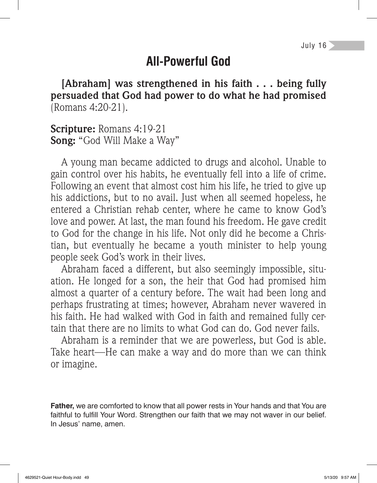# **All-Powerful God**

**[Abraham] was strengthened in his faith . . . being fully persuaded that God had power to do what he had promised**  (Romans 4:20-21).

**Scripture:** Romans 4:19-21 **Song:** "God Will Make a Way"

A young man became addicted to drugs and alcohol. Unable to gain control over his habits, he eventually fell into a life of crime. Following an event that almost cost him his life, he tried to give up his addictions, but to no avail. Just when all seemed hopeless, he entered a Christian rehab center, where he came to know God's love and power. At last, the man found his freedom. He gave credit to God for the change in his life. Not only did he become a Christian, but eventually he became a youth minister to help young people seek God's work in their lives.

Abraham faced a different, but also seemingly impossible, situation. He longed for a son, the heir that God had promised him almost a quarter of a century before. The wait had been long and perhaps frustrating at times; however, Abraham never wavered in his faith. He had walked with God in faith and remained fully certain that there are no limits to what God can do. God never fails.

Abraham is a reminder that we are powerless, but God is able. Take heart—He can make a way and do more than we can think or imagine.

**Father,** we are comforted to know that all power rests in Your hands and that You are faithful to fulfill Your Word. Strengthen our faith that we may not waver in our belief. In Jesus' name, amen.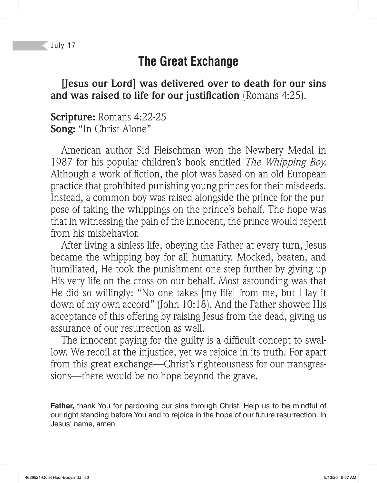## **The Great Exchange**

#### **[Jesus our Lord] was delivered over to death for our sins and was raised to life for our justification** (Romans 4:25).

#### **Scripture:** Romans 4:22-25 **Song:** "In Christ Alone"

American author Sid Fleischman won the Newbery Medal in 1987 for his popular children's book entitled *The Whipping Boy.* Although a work of fiction, the plot was based on an old European practice that prohibited punishing young princes for their misdeeds. Instead, a common boy was raised alongside the prince for the purpose of taking the whippings on the prince's behalf. The hope was that in witnessing the pain of the innocent, the prince would repent from his misbehavior.

After living a sinless life, obeying the Father at every turn, Jesus became the whipping boy for all humanity. Mocked, beaten, and humiliated, He took the punishment one step further by giving up His very life on the cross on our behalf. Most astounding was that He did so willingly: "No one takes [my life] from me, but I lay it down of my own accord" (John 10:18). And the Father showed His acceptance of this offering by raising Jesus from the dead, giving us assurance of our resurrection as well.

The innocent paying for the guilty is a difficult concept to swallow. We recoil at the injustice, yet we rejoice in its truth. For apart from this great exchange—Christ's righteousness for our transgressions—there would be no hope beyond the grave.

**Father,** thank You for pardoning our sins through Christ. Help us to be mindful of our right standing before You and to rejoice in the hope of our future resurrection. In Jesus' name, amen.